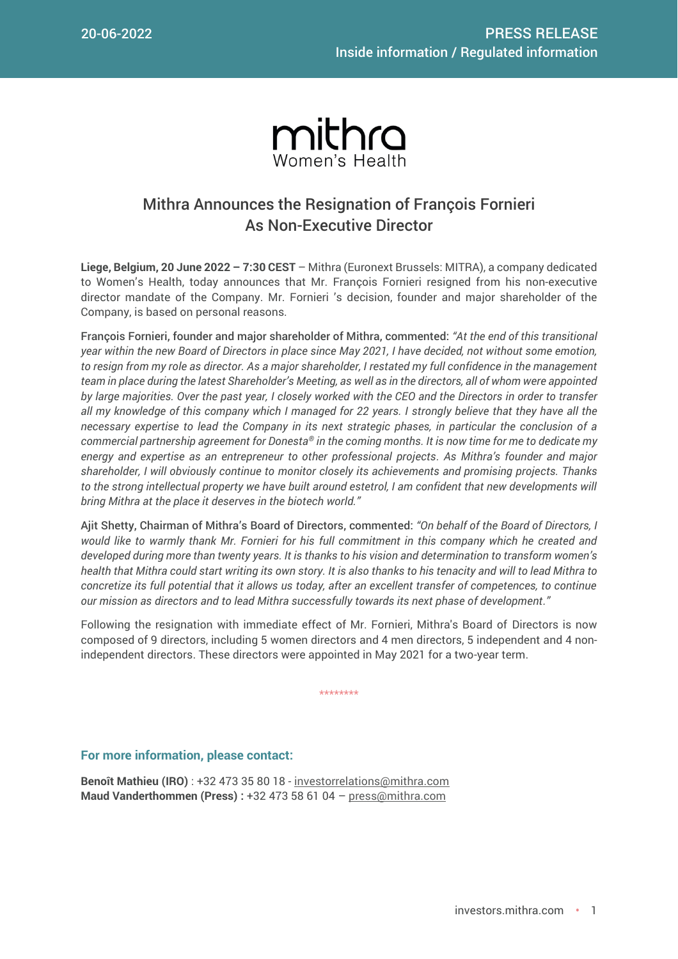

## Mithra Announces the Resignation of François Fornieri As Non-Executive Director

**Liege, Belgium, 20 June 2022 – 7:30 CEST** – Mithra (Euronext Brussels: MITRA), a company dedicated to Women's Health, today announces that Mr. François Fornieri resigned from his non-executive director mandate of the Company. Mr. Fornieri 's decision, founder and major shareholder of the Company, is based on personal reasons.

François Fornieri, founder and major shareholder of Mithra, commented: *"At the end of this transitional year within the new Board of Directors in place since May 2021, I have decided, not without some emotion, to resign from my role as director. As a major shareholder, I restated my full confidence in the management team in place during the latest Shareholder's Meeting, as well as in the directors, all of whom were appointed by large majorities. Over the past year, I closely worked with the CEO and the Directors in order to transfer all my knowledge of this company which I managed for 22 years. I strongly believe that they have all the necessary expertise to lead the Company in its next strategic phases, in particular the conclusion of a commercial partnership agreement for Donesta® in the coming months. It is now time for me to dedicate my energy and expertise as an entrepreneur to other professional projects. As Mithra's founder and major shareholder, I will obviously continue to monitor closely its achievements and promising projects. Thanks*  to the strong intellectual property we have built around estetrol, I am confident that new developments will *bring Mithra at the place it deserves in the biotech world."*

Ajit Shetty, Chairman of Mithra's Board of Directors, commented: *"On behalf of the Board of Directors, I would like to warmly thank Mr. Fornieri for his full commitment in this company which he created and developed during more than twenty years. It is thanks to his vision and determination to transform women's health that Mithra could start writing its own story. It is also thanks to his tenacity and will to lead Mithra to concretize its full potential that it allows us today, after an excellent transfer of competences, to continue our mission as directors and to lead Mithra successfully towards its next phase of development."*

Following the resignation with immediate effect of Mr. Fornieri, Mithra's Board of Directors is now composed of 9 directors, including 5 women directors and 4 men directors, 5 independent and 4 nonindependent directors. These directors were appointed in May 2021 for a two-year term.

\*\*\*\*\*\*\*\*

## **For more information, please contact:**

**Benoît Mathieu (IRO)** : +32 473 35 80 18 - [investorrelations@mithra.com](mailto:investorrelations@mithra.com) **Maud Vanderthommen (Press) :** +32 473 58 61 04 – [press@mithra.com](mailto:press@mithra.com)